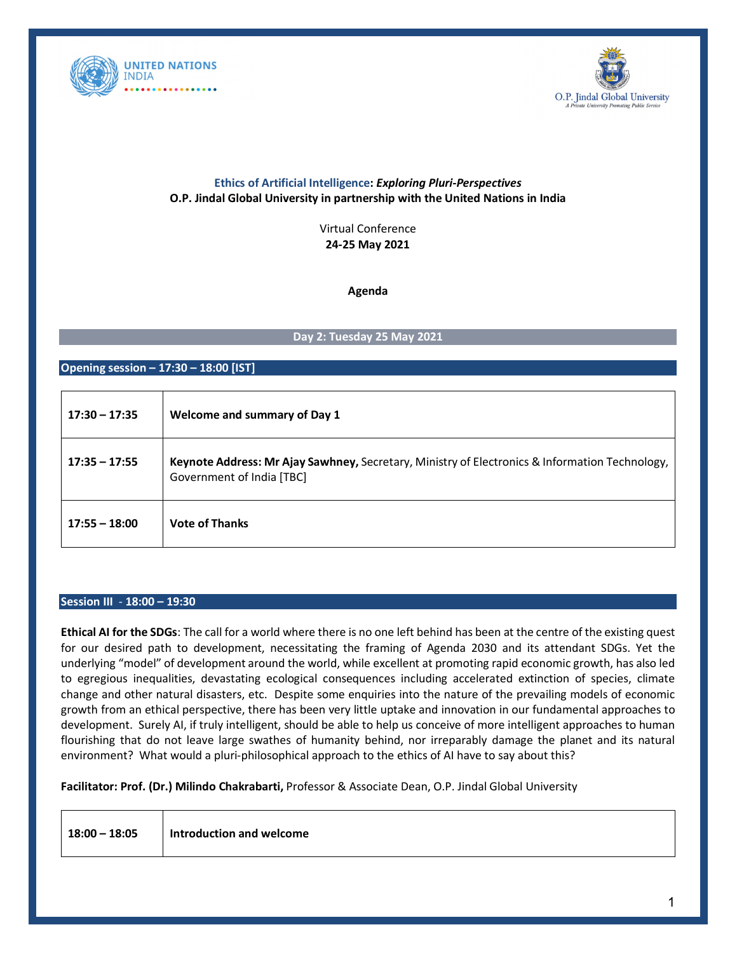



# **Ethics of Artificial Intelligence:** *Exploring Pluri-Perspectives* **O.P. Jindal Global University in partnership with the United Nations in India**

Virtual Conference **24-25 May 2021**

**Agenda**

## **Day 2: Tuesday 25 May 2021**

### **Opening session – 17:30 – 18:00 [IST]**

| $17:30 - 17:35$ | Welcome and summary of Day 1                                                                                                |
|-----------------|-----------------------------------------------------------------------------------------------------------------------------|
| $17:35 - 17:55$ | Keynote Address: Mr Ajay Sawhney, Secretary, Ministry of Electronics & Information Technology,<br>Government of India [TBC] |
| $17:55 - 18:00$ | <b>Vote of Thanks</b>                                                                                                       |

#### **Session III** - **18:00 – 19:30**

**Ethical AI for the SDGs**: The call for a world where there is no one left behind has been at the centre of the existing quest for our desired path to development, necessitating the framing of Agenda 2030 and its attendant SDGs. Yet the underlying "model" of development around the world, while excellent at promoting rapid economic growth, has also led to egregious inequalities, devastating ecological consequences including accelerated extinction of species, climate change and other natural disasters, etc. Despite some enquiries into the nature of the prevailing models of economic growth from an ethical perspective, there has been very little uptake and innovation in our fundamental approaches to development. Surely AI, if truly intelligent, should be able to help us conceive of more intelligent approaches to human flourishing that do not leave large swathes of humanity behind, nor irreparably damage the planet and its natural environment? What would a pluri-philosophical approach to the ethics of AI have to say about this?

**Facilitator: Prof. (Dr.) Milindo Chakrabarti,** Professor & Associate Dean, O.P. Jindal Global University

| $18:00 - 18:05$ | Introduction and welcome |
|-----------------|--------------------------|
|-----------------|--------------------------|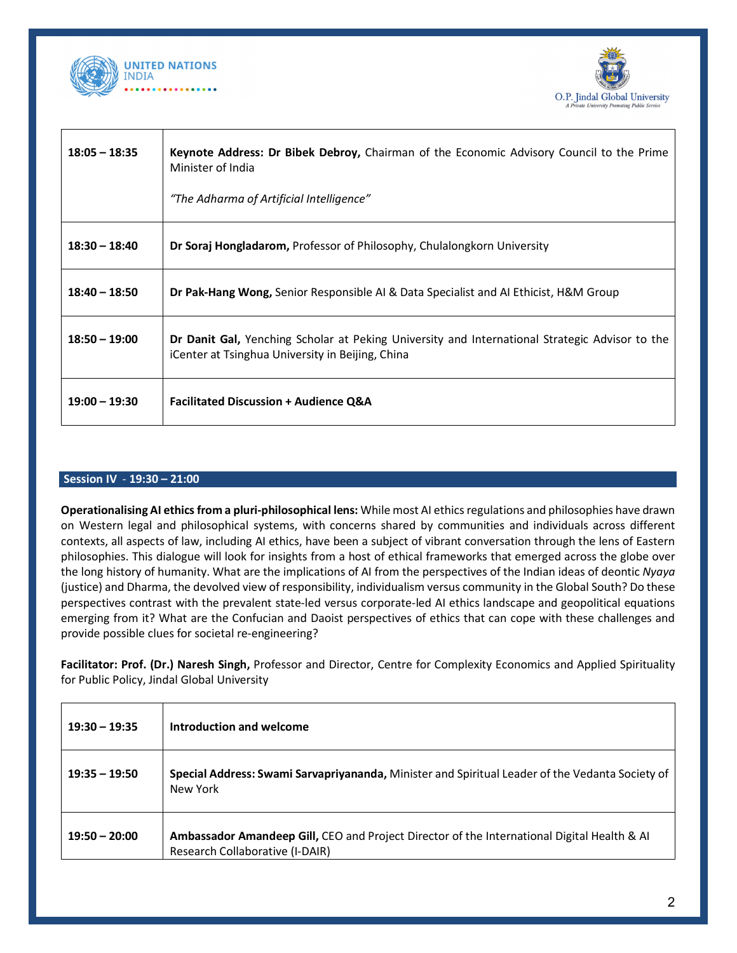



| $18:05 - 18:35$ | Keynote Address: Dr Bibek Debroy, Chairman of the Economic Advisory Council to the Prime<br>Minister of India                                      |
|-----------------|----------------------------------------------------------------------------------------------------------------------------------------------------|
|                 | "The Adharma of Artificial Intelligence"                                                                                                           |
| $18:30 - 18:40$ | <b>Dr Soraj Hongladarom, Professor of Philosophy, Chulalongkorn University</b>                                                                     |
| $18:40 - 18:50$ | <b>Dr Pak-Hang Wong, Senior Responsible AI &amp; Data Specialist and AI Ethicist, H&amp;M Group</b>                                                |
| $18:50 - 19:00$ | Dr Danit Gal, Yenching Scholar at Peking University and International Strategic Advisor to the<br>iCenter at Tsinghua University in Beijing, China |
| $19:00 - 19:30$ | <b>Facilitated Discussion + Audience Q&amp;A</b>                                                                                                   |

### **Session IV** - **19:30 – 21:00**

**Operationalising AI ethics from a pluri-philosophical lens:** While most AI ethics regulations and philosophies have drawn on Western legal and philosophical systems, with concerns shared by communities and individuals across different contexts, all aspects of law, including AI ethics, have been a subject of vibrant conversation through the lens of Eastern philosophies. This dialogue will look for insights from a host of ethical frameworks that emerged across the globe over the long history of humanity. What are the implications of AI from the perspectives of the Indian ideas of deontic *Nyaya*  (justice) and Dharma, the devolved view of responsibility, individualism versus community in the Global South? Do these perspectives contrast with the prevalent state-led versus corporate-led AI ethics landscape and geopolitical equations emerging from it? What are the Confucian and Daoist perspectives of ethics that can cope with these challenges and provide possible clues for societal re-engineering?

**Facilitator: Prof. (Dr.) Naresh Singh,** Professor and Director, Centre for Complexity Economics and Applied Spirituality for Public Policy, Jindal Global University

| $19:30 - 19:35$ | Introduction and welcome                                                                                                       |
|-----------------|--------------------------------------------------------------------------------------------------------------------------------|
| $19:35 - 19:50$ | Special Address: Swami Sarvapriyananda, Minister and Spiritual Leader of the Vedanta Society of<br>New York                    |
| $19:50 - 20:00$ | Ambassador Amandeep Gill, CEO and Project Director of the International Digital Health & Al<br>Research Collaborative (I-DAIR) |